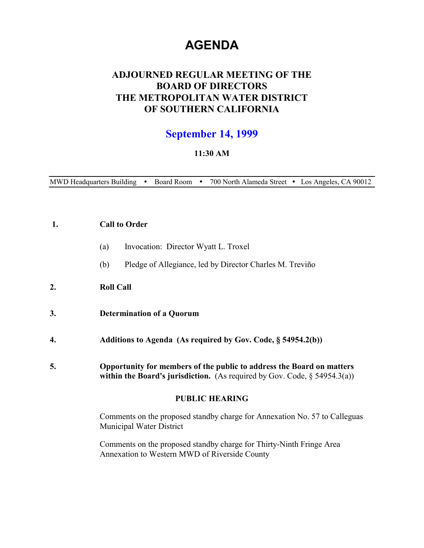# **AGENDA**

# **ADJOURNED REGULAR MEETING OF THE BOARD OF DIRECTORS THE METROPOLITAN WATER DISTRICT OF SOUTHERN CALIFORNIA**

# **September 14, 1999**

# **11:30 AM**

MWD Headquarters Building . Board Room . 700 North Alameda Street . Los Angeles, CA 90012

# **1. Call to Order**

- (a) Invocation: Director Wyatt L. Troxel
- (b) Pledge of Allegiance, led by Director Charles M. Treviño

# **2. Roll Call**

- **3. Determination of a Quorum**
- **4. Additions to Agenda (As required by Gov. Code, § 54954.2(b))**
- **5. Opportunity for members of the public to address the Board on matters within the Board's jurisdiction.** (As required by Gov. Code, § 54954.3(a))

#### **PUBLIC HEARING**

Comments on the proposed standby charge for Annexation No. 57 to Calleguas Municipal Water District

Comments on the proposed standby charge for Thirty-Ninth Fringe Area Annexation to Western MWD of Riverside County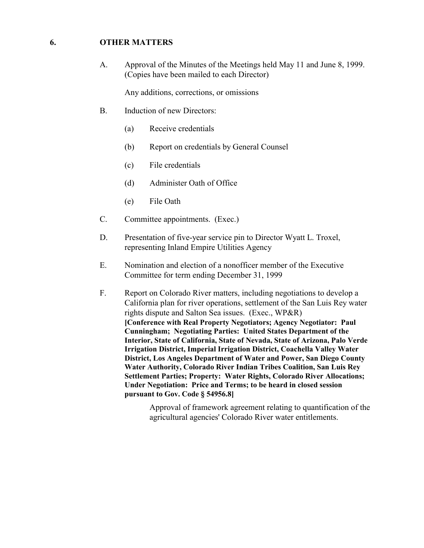# **6. OTHER MATTERS**

A. Approval of the Minutes of the Meetings held May 11 and June 8, 1999. (Copies have been mailed to each Director)

Any additions, corrections, or omissions

- B. Induction of new Directors:
	- (a) Receive credentials
	- (b) Report on credentials by General Counsel
	- (c) File credentials
	- (d) Administer Oath of Office
	- (e) File Oath
- C. Committee appointments. (Exec.)
- D. Presentation of five-year service pin to Director Wyatt L. Troxel, representing Inland Empire Utilities Agency
- E. Nomination and election of a nonofficer member of the Executive Committee for term ending December 31, 1999
- F. Report on Colorado River matters, including negotiations to develop a California plan for river operations, settlement of the San Luis Rey water rights dispute and Salton Sea issues. (Exec., WP&R) **[Conference with Real Property Negotiators; Agency Negotiator: Paul Cunningham; Negotiating Parties: United States Department of the Interior, State of California, State of Nevada, State of Arizona, Palo Verde Irrigation District, Imperial Irrigation District, Coachella Valley Water District, Los Angeles Department of Water and Power, San Diego County Water Authority, Colorado River Indian Tribes Coalition, San Luis Rey Settlement Parties; Property: Water Rights, Colorado River Allocations; Under Negotiation: Price and Terms; to be heard in closed session pursuant to Gov. Code § 54956.8]**

Approval of framework agreement relating to quantification of the agricultural agencies' Colorado River water entitlements.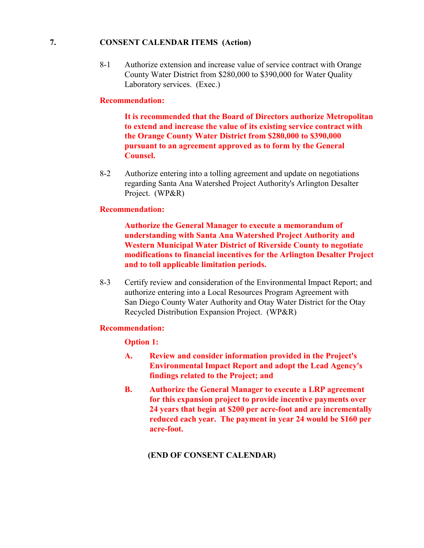# **7. CONSENT CALENDAR ITEMS (Action)**

8-1 Authorize extension and increase value of service contract with Orange County Water District from \$280,000 to \$390,000 for Water Quality Laboratory services. (Exec.)

#### **Recommendation:**

**It is recommended that the Board of Directors authorize Metropolitan to extend and increase the value of its existing service contract with the Orange County Water District from \$280,000 to \$390,000 pursuant to an agreement approved as to form by the General Counsel.**

8-2 Authorize entering into a tolling agreement and update on negotiations regarding Santa Ana Watershed Project Authority's Arlington Desalter Project. (WP&R)

# **Recommendation:**

**Authorize the General Manager to execute a memorandum of understanding with Santa Ana Watershed Project Authority and Western Municipal Water District of Riverside County to negotiate modifications to financial incentives for the Arlington Desalter Project and to toll applicable limitation periods.**

8-3 Certify review and consideration of the Environmental Impact Report; and authorize entering into a Local Resources Program Agreement with San Diego County Water Authority and Otay Water District for the Otay Recycled Distribution Expansion Project. (WP&R)

#### **Recommendation:**

#### **Option 1:**

- **A. Review and consider information provided in the Project's Environmental Impact Report and adopt the Lead Agency's findings related to the Project; and**
- **B. Authorize the General Manager to execute a LRP agreement for this expansion project to provide incentive payments over 24 years that begin at \$200 per acre-foot and are incrementally reduced each year. The payment in year 24 would be \$160 per acre-foot.**

#### **(END OF CONSENT CALENDAR)**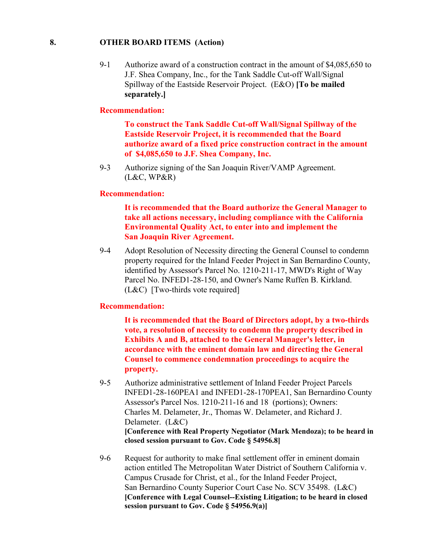# **8. OTHER BOARD ITEMS (Action)**

9-1 Authorize award of a construction contract in the amount of \$4,085,650 to J.F. Shea Company, Inc., for the Tank Saddle Cut-off Wall/Signal Spillway of the Eastside Reservoir Project. (E&O) **[To be mailed separately.]**

# **Recommendation:**

**To construct the Tank Saddle Cut-off Wall/Signal Spillway of the Eastside Reservoir Project, it is recommended that the Board authorize award of a fixed price construction contract in the amount of \$4,085,650 to J.F. Shea Company, Inc.**

9-3 Authorize signing of the San Joaquin River/VAMP Agreement.  $(L&C, WP&R)$ 

#### **Recommendation:**

**It is recommended that the Board authorize the General Manager to take all actions necessary, including compliance with the California Environmental Quality Act, to enter into and implement the San Joaquin River Agreement.**

9-4 Adopt Resolution of Necessity directing the General Counsel to condemn property required for the Inland Feeder Project in San Bernardino County, identified by Assessor's Parcel No. 1210-211-17, MWD's Right of Way Parcel No. INFED1-28-150, and Owner's Name Ruffen B. Kirkland. (L&C) [Two-thirds vote required]

#### **Recommendation:**

**It is recommended that the Board of Directors adopt, by a two-thirds vote, a resolution of necessity to condemn the property described in Exhibits A and B, attached to the General Manager's letter, in accordance with the eminent domain law and directing the General Counsel to commence condemnation proceedings to acquire the property.**

- 9-5 Authorize administrative settlement of Inland Feeder Project Parcels INFED1-28-160PEA1 and INFED1-28-170PEA1, San Bernardino County Assessor's Parcel Nos. 1210-211-16 and 18 (portions); Owners: Charles M. Delameter, Jr., Thomas W. Delameter, and Richard J. Delameter. (L&C) **[Conference with Real Property Negotiator (Mark Mendoza); to be heard in closed session pursuant to Gov. Code § 54956.8]**
- 9-6 Request for authority to make final settlement offer in eminent domain action entitled The Metropolitan Water District of Southern California v. Campus Crusade for Christ, et al., for the Inland Feeder Project, San Bernardino County Superior Court Case No. SCV 35498. (L&C) **[Conference with Legal Counsel--Existing Litigation; to be heard in closed session pursuant to Gov. Code § 54956.9(a)]**